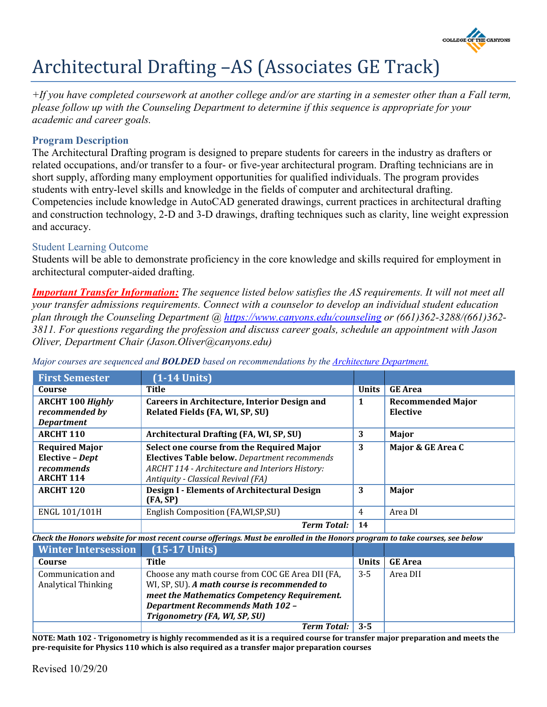

# Architectural Drafting –AS (Associates GE Track)

*+If you have completed coursework at another college and/or are starting in a semester other than a Fall term, please follow up with the Counseling Department to determine if this sequence is appropriate for your academic and career goals.*

## **Program Description**

The Architectural Drafting program is designed to prepare students for careers in the industry as drafters or related occupations, and/or transfer to a four- or five-year architectural program. Drafting technicians are in short supply, affording many employment opportunities for qualified individuals. The program provides students with entry-level skills and knowledge in the fields of computer and architectural drafting. Competencies include knowledge in AutoCAD generated drawings, current practices in architectural drafting and construction technology, 2-D and 3-D drawings, drafting techniques such as clarity, line weight expression and accuracy.

### Student Learning Outcome

Students will be able to demonstrate proficiency in the core knowledge and skills required for employment in architectural computer-aided drafting.

*Important Transfer Information: The sequence listed below satisfies the AS requirements. It will not meet all your transfer admissions requirements. Connect with a counselor to develop an individual student education plan through the Counseling Department @<https://www.canyons.edu/counseling> or (661)362-3288/(661)362- 3811. For questions regarding the profession and discuss career goals, schedule an appointment with Jason Oliver, Department Chair (Jason.Oliver@canyons.edu)*

| <b>First Semester</b>                                                      | $(1-14$ Units)                                                                                                                                                                     |              |                                      |
|----------------------------------------------------------------------------|------------------------------------------------------------------------------------------------------------------------------------------------------------------------------------|--------------|--------------------------------------|
| Course                                                                     | <b>Title</b>                                                                                                                                                                       | <b>Units</b> | <b>GE Area</b>                       |
| <b>ARCHT 100 Highly</b><br>recommended by<br><b>Department</b>             | <b>Careers in Architecture, Interior Design and</b><br>Related Fields (FA, WI, SP, SU)                                                                                             | 1            | <b>Recommended Major</b><br>Elective |
| <b>ARCHT 110</b>                                                           | Architectural Drafting (FA, WI, SP, SU)                                                                                                                                            | 3            | Major                                |
| <b>Required Major</b><br>Elective - Dept<br>recommends<br><b>ARCHT 114</b> | Select one course from the Required Major<br>Electives Table below. Department recommends<br>ARCHT 114 - Architecture and Interiors History:<br>Antiquity - Classical Revival (FA) | 3            | Major & GE Area C                    |
| <b>ARCHT 120</b>                                                           | <b>Design I - Elements of Architectural Design</b><br>(FA, SP)                                                                                                                     | 3            | Major                                |
| ENGL 101/101H                                                              | English Composition (FA, WI, SP, SU)                                                                                                                                               | 4            | Area DI                              |
|                                                                            | <b>Term Total:</b>                                                                                                                                                                 | 14           |                                      |

*Major courses are sequenced and BOLDED based on recommendations by the [Architecture Department.](https://www.canyons.edu/academics/architecture)*

*Check the Honors website for most recent course offerings. Must be enrolled in the Honors program to take courses, see below*

| <b>Winter Intersession</b> | $(15-17$ Units)                                  |              |                |
|----------------------------|--------------------------------------------------|--------------|----------------|
| Course                     | Title                                            | <b>Units</b> | <b>GE</b> Area |
| Communication and          | Choose any math course from COC GE Area DII (FA, | $3 - 5$      | Area DII       |
| <b>Analytical Thinking</b> | WI, SP, SU). A math course is recommended to     |              |                |
|                            | meet the Mathematics Competency Requirement.     |              |                |
|                            | <b>Department Recommends Math 102 -</b>          |              |                |
|                            | Trigonometry (FA, WI, SP, SU)                    |              |                |
|                            | <b>Term Total:</b> 3-5                           |              |                |

**NOTE: Math 102 - Trigonometry is highly recommended as it is a required course for transfer major preparation and meets the pre-requisite for Physics 110 which is also required as a transfer major preparation courses**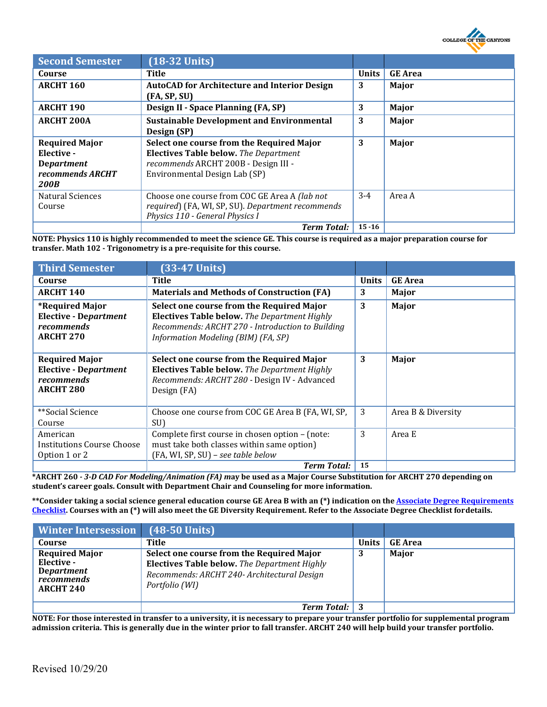

| <b>Second Semester</b>                                                                      | $(18-32$ Units)                                                                                                                                                    |              |                |
|---------------------------------------------------------------------------------------------|--------------------------------------------------------------------------------------------------------------------------------------------------------------------|--------------|----------------|
| Course                                                                                      | Title                                                                                                                                                              | <b>Units</b> | <b>GE</b> Area |
| <b>ARCHT 160</b>                                                                            | <b>AutoCAD for Architecture and Interior Design</b><br>(FA, SP, SU)                                                                                                | 3            | Major          |
| <b>ARCHT 190</b>                                                                            | <b>Design II - Space Planning (FA, SP)</b>                                                                                                                         | 3            | Major          |
| <b>ARCHT 200A</b>                                                                           | <b>Sustainable Development and Environmental</b><br>Design (SP)                                                                                                    | 3            | Major          |
| <b>Required Major</b><br>Elective -<br><b>Department</b><br>recommends ARCHT<br><b>200B</b> | Select one course from the Required Major<br><b>Electives Table below.</b> The Department<br>recommends ARCHT 200B - Design III -<br>Environmental Design Lab (SP) | 3            | Major          |
| <b>Natural Sciences</b><br>Course                                                           | Choose one course from COC GE Area A (lab not<br>required) (FA, WI, SP, SU). Department recommends<br>Physics 110 - General Physics I                              | $3-4$        | Area A         |
|                                                                                             | <b>Term Total:</b>                                                                                                                                                 | $15 - 16$    |                |

**NOTE: Physics 110 is highly recommended to meet the science GE. This course is required as a major preparation course for transfer. Math 102 - Trigonometry is a pre-requisite for this course.**

| <b>Third Semester</b>                                                                           | $(33-47$ Units)                                                                                                                                                                      |              |                    |
|-------------------------------------------------------------------------------------------------|--------------------------------------------------------------------------------------------------------------------------------------------------------------------------------------|--------------|--------------------|
| Course                                                                                          | Title                                                                                                                                                                                | <b>Units</b> | <b>GE</b> Area     |
| <b>ARCHT 140</b>                                                                                | <b>Materials and Methods of Construction (FA)</b>                                                                                                                                    | 3            | Major              |
| <i><b>*Required Major</b></i><br><b>Elective - Department</b><br>recommends<br><b>ARCHT 270</b> | Select one course from the Required Major<br>Electives Table below. The Department Highly<br>Recommends: ARCHT 270 - Introduction to Building<br>Information Modeling (BIM) (FA, SP) | 3            | Major              |
| <b>Required Major</b><br><b>Elective - Department</b><br>recommends<br><b>ARCHT 280</b>         | Select one course from the Required Major<br><b>Electives Table below.</b> The Department Highly<br>Recommends: ARCHT 280 - Design IV - Advanced<br>Design (FA)                      | 3            | Major              |
| **Social Science<br>Course                                                                      | Choose one course from COC GE Area B (FA, WI, SP,<br>SU)                                                                                                                             | 3            | Area B & Diversity |
| American<br><b>Institutions Course Choose</b><br>Option 1 or 2                                  | Complete first course in chosen option - (note:<br>must take both classes within same option)<br>(FA, WI, SP, SU) - see table below                                                  | 3            | Area E             |
|                                                                                                 | <b>Term Total:</b>                                                                                                                                                                   | 15           |                    |

**\*ARCHT 260** *- 3-D CAD For Modeling/Animation (FA) m***ay be used as a Major Course Substitution for ARCHT 270 depending on student's career goals. Consult with Department Chair and Counseling for more information.**

**\*\*Consider taking a social science general education course GE Area B with an (\*) indication on th[e Associate Degree Requirements](https://www.canyons.edu/studentservices/counseling/degrees/generaled.php) [Checklist.](https://www.canyons.edu/studentservices/counseling/degrees/generaled.php) Courses with an (\*) will also meet the GE Diversity Requirement. Refer to the Associate Degree Checklist fordetails.**

| <b>Winter Intersession</b>                                                          | $(48-50$ Units)                                                                                                                                            |              |                |
|-------------------------------------------------------------------------------------|------------------------------------------------------------------------------------------------------------------------------------------------------------|--------------|----------------|
| Course                                                                              | Title                                                                                                                                                      | <b>Units</b> | <b>GE</b> Area |
| <b>Required Major</b><br>Elective -<br>Department<br>recommends<br><b>ARCHT 240</b> | Select one course from the Required Major<br>Electives Table below. The Department Highly<br>Recommends: ARCHT 240- Architectural Design<br>Portfolio (WI) | 3            | Major          |
|                                                                                     | <b>Term Total:</b> 3                                                                                                                                       |              |                |

**NOTE: For those interested in transfer to a university, it is necessary to prepare your transfer portfolio for supplemental program admission criteria. This is generally due in the winter prior to fall transfer. ARCHT 240 will help build your transfer portfolio.**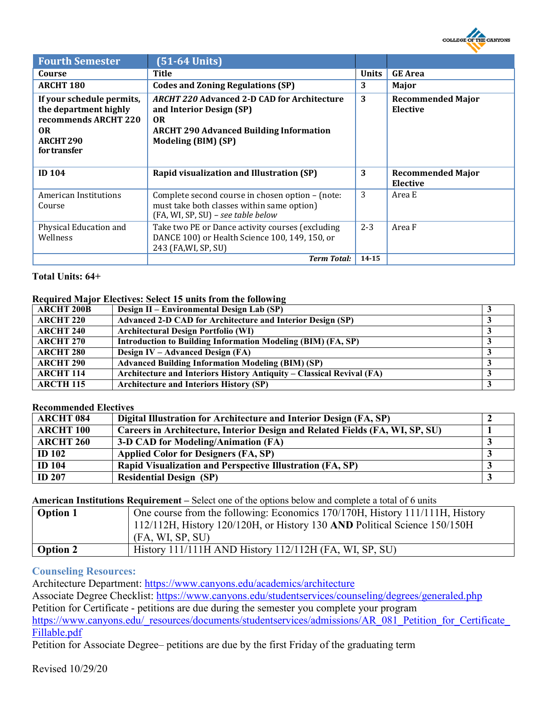

| <b>Fourth Semester</b>                                                                                                          | $(51-64$ Units)                                                                                                                                                |              |                                             |
|---------------------------------------------------------------------------------------------------------------------------------|----------------------------------------------------------------------------------------------------------------------------------------------------------------|--------------|---------------------------------------------|
| Course                                                                                                                          | Title                                                                                                                                                          | <b>Units</b> | <b>GE</b> Area                              |
| <b>ARCHT 180</b>                                                                                                                | <b>Codes and Zoning Regulations (SP)</b>                                                                                                                       | 3            | Major                                       |
| If your schedule permits,<br>the department highly<br>recommends ARCHT 220<br><b>OR</b><br>ARCHT <sub>290</sub><br>for transfer | <b>ARCHT 220 Advanced 2-D CAD for Architecture</b><br>and Interior Design (SP)<br>OR.<br><b>ARCHT 290 Advanced Building Information</b><br>Modeling (BIM) (SP) | 3            | <b>Recommended Major</b><br><b>Elective</b> |
| <b>ID 104</b>                                                                                                                   | Rapid visualization and Illustration (SP)                                                                                                                      | 3            | <b>Recommended Major</b>                    |
|                                                                                                                                 |                                                                                                                                                                |              | <b>Elective</b>                             |
| <b>American Institutions</b><br>Course                                                                                          | Complete second course in chosen option - (note:<br>must take both classes within same option)<br>(FA, WI, SP, SU) - see table below                           | 3            | Area E                                      |
| Physical Education and<br>Wellness                                                                                              | Take two PE or Dance activity courses (excluding<br>DANCE 100) or Health Science 100, 149, 150, or<br>243 (FA, WI, SP, SU)                                     | $2 - 3$      | Area F                                      |

#### **Total Units: 64+**

#### **Required Major Electives: Select 15 units from the following**

| <b>ARCHT 200B</b> | Design II – Environmental Design Lab (SP)                             |  |
|-------------------|-----------------------------------------------------------------------|--|
| <b>ARCHT 220</b>  | <b>Advanced 2-D CAD for Architecture and Interior Design (SP)</b>     |  |
| <b>ARCHT 240</b>  | <b>Architectural Design Portfolio (WI)</b>                            |  |
| <b>ARCHT 270</b>  | Introduction to Building Information Modeling (BIM) (FA, SP)          |  |
| <b>ARCHT 280</b>  | Design IV – Advanced Design (FA)                                      |  |
| <b>ARCHT 290</b>  | <b>Advanced Building Information Modeling (BIM) (SP)</b>              |  |
| <b>ARCHT 114</b>  | Architecture and Interiors History Antiquity – Classical Revival (FA) |  |
| <b>ARCTH 115</b>  | <b>Architecture and Interiors History (SP)</b>                        |  |

#### **Recommended Electives**

| <b>ARCHT 084</b> | Digital Illustration for Architecture and Interior Design (FA, SP)           |  |
|------------------|------------------------------------------------------------------------------|--|
| <b>ARCHT 100</b> | Careers in Architecture, Interior Design and Related Fields (FA, WI, SP, SU) |  |
| <b>ARCHT 260</b> | 3-D CAD for Modeling/Animation (FA)                                          |  |
| <b>ID</b> 102    | <b>Applied Color for Designers (FA, SP)</b>                                  |  |
| <b>ID</b> 104    | Rapid Visualization and Perspective Illustration (FA, SP)                    |  |
| <b>ID 207</b>    | <b>Residential Design (SP)</b>                                               |  |

**American Institutions Requirement –** Select one of the options below and complete a total of 6 units

| <b>Option 1</b> | One course from the following: Economics 170/170H, History 111/111H, History<br>$112/112$ H, History $120/120$ H, or History 130 AND Political Science 150/150H |
|-----------------|-----------------------------------------------------------------------------------------------------------------------------------------------------------------|
|                 | (FA, WI, SP, SU)                                                                                                                                                |
| <b>Option 2</b> | History $111/111H$ AND History $112/112H$ (FA, WI, SP, SU)                                                                                                      |

#### **Counseling Resources:**

Architecture Department: [https://www.canyons.edu/academics/architecture](https://www.canyons.edu/academics/architecture/)

Associate Degree Checklist:<https://www.canyons.edu/studentservices/counseling/degrees/generaled.php>

Petition for Certificate - petitions are due during the semester you complete your program

[https://www.canyons.edu/\\_resources/documents/studentservices/admissions/AR\\_081\\_Petition\\_for\\_Certificate\\_](https://www.canyons.edu/_resources/documents/studentservices/admissions/AR_081_Petition_for_Certificate_Fillable.pdf) [Fillable.pdf](https://www.canyons.edu/_resources/documents/studentservices/admissions/AR_081_Petition_for_Certificate_Fillable.pdf)

Petition for Associate Degree– petitions are due by the first Friday of the graduating term